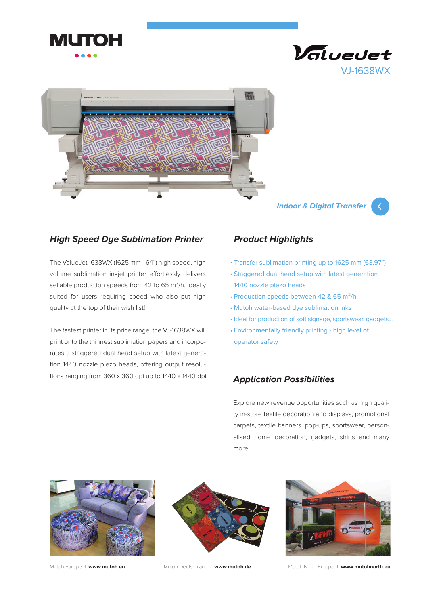





## **Indoor & Digital Transfer**



## **High Speed Dye Sublimation Printer**

The ValueJet 1638WX (1625 mm - 64") high speed, high volume sublimation inkjet printer effortlessly delivers sellable production speeds from 42 to 65  $m^2/h$ . Ideally suited for users requiring speed who also put high quality at the top of their wish list!

The fastest printer in its price range, the VJ-1638WX will print onto the thinnest sublimation papers and incorporates a staggered dual head setup with latest generation 1440 nozzle piezo heads, offering output resolutions ranging from 360 x 360 dpi up to 1440 x 1440 dpi. **Application Possibilities** 

## **Product Highlights**

- Transfer sublimation printing up to 1625 mm (63.97") •
- Staggered dual head setup with latest generation 1440 nozzle piezo heads
- Production speeds between 42 & 65 m<sup>2</sup>/h
- Mutoh water-based dye sublimation inks •
- Ideal for production of soft signage, sportswear, gadgets...
- Environmentally friendly printing high level of •operator safety

Explore new revenue opportunities such as high quality in-store textile decoration and displays, promotional carpets, textile banners, pop-ups, sportswear, personalised home decoration, gadgets, shirts and many more.







Mutoh Europe I **www.mutoh.eu** Mutoh Deutschland I **www.mutoh.de** Mutoh North Europe I **www.mutohnorth.eu**